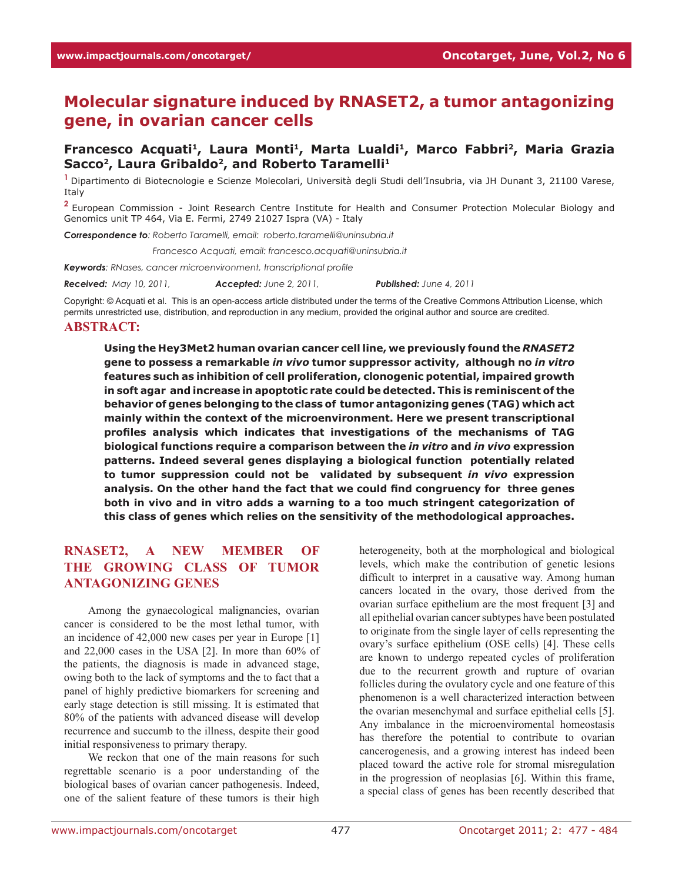# **Molecular signature induced by RNASET2, a tumor antagonizing gene, in ovarian cancer cells**

#### **Francesco Acquati1, Laura Monti1, Marta Lualdi1, Marco Fabbri2, Maria Grazia**  Sacco<sup>2</sup>, Laura Gribaldo<sup>2</sup>, and Roberto Taramelli<sup>1</sup>

**<sup>1</sup>**Dipartimento di Biotecnologie e Scienze Molecolari, Università degli Studi dell'Insubria, via JH Dunant 3, 21100 Varese, Italy

**<sup>2</sup>**European Commission - Joint Research Centre Institute for Health and Consumer Protection Molecular Biology and Genomics unit TP 464, Via E. Fermi, 2749 21027 Ispra (VA) - Italy

*Correspondence to: Roberto Taramelli, email: roberto.taramelli@uninsubria.it*

*Correspondence to: Francesco Acquati, email: francesco.acquati@uninsubria.it*

*Keywords: RNases, cancer microenvironment, transcriptional profile*

*Received: May 10, 2011, Accepted: June 2, 2011, Published: June 4, 2011*

Copyright: © Acquati et al. This is an open-access article distributed under the terms of the Creative Commons Attribution License, which permits unrestricted use, distribution, and reproduction in any medium, provided the original author and source are credited.

#### **Abstract:**

**Using the Hey3Met2 human ovarian cancer cell line, we previously found the** *RNASET2*  **gene to possess a remarkable** *in vivo* **tumor suppressor activity, although no** *in vitro*  **features such as inhibition of cell proliferation, clonogenic potential, impaired growth in soft agar and increase in apoptotic rate could be detected. This is reminiscent of the behavior of genes belonging to the class of tumor antagonizing genes (TAG) which act mainly within the context of the microenvironment. Here we present transcriptional profiles analysis which indicates that investigations of the mechanisms of TAG biological functions require a comparison between the** *in vitro* **and** *in vivo* **expression patterns. Indeed several genes displaying a biological function potentially related to tumor suppression could not be validated by subsequent** *in vivo* **expression analysis. On the other hand the fact that we could find congruency for three genes both in vivo and in vitro adds a warning to a too much stringent categorization of this class of genes which relies on the sensitivity of the methodological approaches.** 

#### **RNASET2, A NEW MEMBER OF THE GROWING CLASS OF TUMOR ANTAGONIZING GENES**

Among the gynaecological malignancies, ovarian cancer is considered to be the most lethal tumor, with an incidence of 42,000 new cases per year in Europe [1] and 22,000 cases in the USA [2]. In more than 60% of the patients, the diagnosis is made in advanced stage, owing both to the lack of symptoms and the to fact that a panel of highly predictive biomarkers for screening and early stage detection is still missing. It is estimated that 80% of the patients with advanced disease will develop recurrence and succumb to the illness, despite their good initial responsiveness to primary therapy.

We reckon that one of the main reasons for such regrettable scenario is a poor understanding of the biological bases of ovarian cancer pathogenesis. Indeed, one of the salient feature of these tumors is their high heterogeneity, both at the morphological and biological levels, which make the contribution of genetic lesions difficult to interpret in a causative way. Among human cancers located in the ovary, those derived from the ovarian surface epithelium are the most frequent [3] and all epithelial ovarian cancer subtypes have been postulated to originate from the single layer of cells representing the ovary's surface epithelium (OSE cells) [4]. These cells are known to undergo repeated cycles of proliferation due to the recurrent growth and rupture of ovarian follicles during the ovulatory cycle and one feature of this phenomenon is a well characterized interaction between the ovarian mesenchymal and surface epithelial cells [5]. Any imbalance in the microenviromental homeostasis has therefore the potential to contribute to ovarian cancerogenesis, and a growing interest has indeed been placed toward the active role for stromal misregulation in the progression of neoplasias [6]. Within this frame, a special class of genes has been recently described that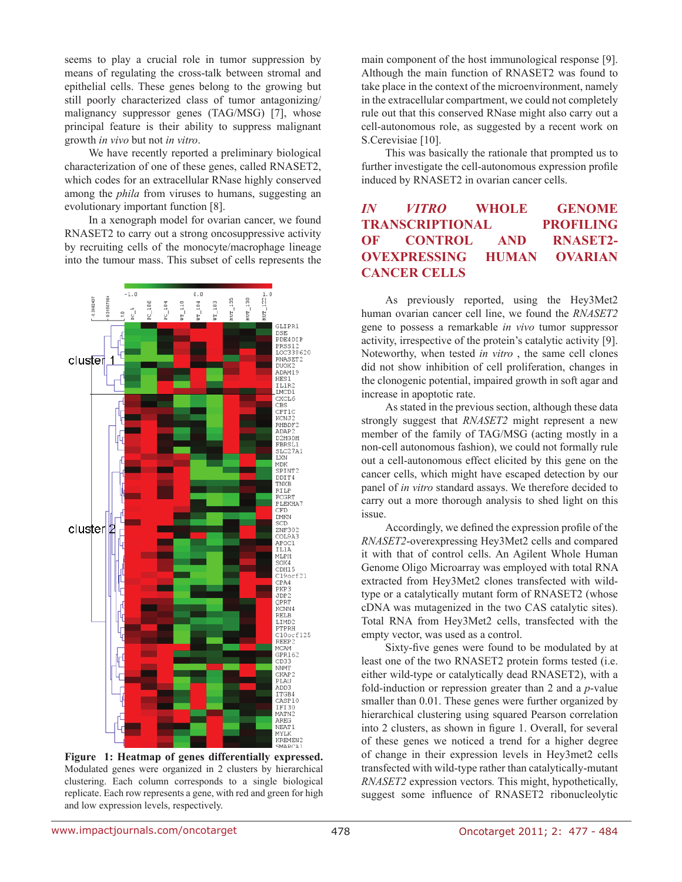seems to play a crucial role in tumor suppression by means of regulating the cross-talk between stromal and epithelial cells. These genes belong to the growing but still poorly characterized class of tumor antagonizing/ malignancy suppressor genes (TAG/MSG) [7], whose principal feature is their ability to suppress malignant growth *in vivo* but not *in vitro*.

We have recently reported a preliminary biological characterization of one of these genes, called RNASET2, which codes for an extracellular RNase highly conserved among the *phila* from viruses to humans, suggesting an evolutionary important function [8].

In a xenograph model for ovarian cancer, we found RNASET2 to carry out a strong oncosuppressive activity by recruiting cells of the monocyte/macrophage lineage into the tumour mass. This subset of cells represents the



**Figure 1: Heatmap of genes differentially expressed.**  Modulated genes were organized in 2 clusters by hierarchical clustering. Each column corresponds to a single biological replicate. Each row represents a gene, with red and green for high and low expression levels, respectively.

main component of the host immunological response [9]. Although the main function of RNASET2 was found to take place in the context of the microenvironment, namely in the extracellular compartment, we could not completely rule out that this conserved RNase might also carry out a cell-autonomous role, as suggested by a recent work on S.Cerevisiae [10].

This was basically the rationale that prompted us to further investigate the cell-autonomous expression profile induced by RNASET2 in ovarian cancer cells.

## *in vitro* **Whole genome TRANSCRIPTIONAL PROFILING of control and RNASET2- OVEXPRESSING HUMAN OVARIAN CANCER CELLS**

As previously reported, using the Hey3Met2 human ovarian cancer cell line, we found the *RNASET2* gene to possess a remarkable *in vivo* tumor suppressor activity, irrespective of the protein's catalytic activity [9]. Noteworthy, when tested *in vitro* , the same cell clones did not show inhibition of cell proliferation, changes in the clonogenic potential, impaired growth in soft agar and increase in apoptotic rate.

As stated in the previous section, although these data strongly suggest that *RNASET2* might represent a new member of the family of TAG/MSG (acting mostly in a non-cell autonomous fashion), we could not formally rule out a cell-autonomous effect elicited by this gene on the cancer cells, which might have escaped detection by our panel of *in vitro* standard assays. We therefore decided to carry out a more thorough analysis to shed light on this issue.

Accordingly, we defined the expression profile of the *RNASET2*-overexpressing Hey3Met2 cells and compared it with that of control cells. An Agilent Whole Human Genome Oligo Microarray was employed with total RNA extracted from Hey3Met2 clones transfected with wildtype or a catalytically mutant form of RNASET2 (whose cDNA was mutagenized in the two CAS catalytic sites). Total RNA from Hey3Met2 cells, transfected with the empty vector, was used as a control.

Sixty-five genes were found to be modulated by at least one of the two RNASET2 protein forms tested (i.e. either wild-type or catalytically dead RNASET2), with a fold-induction or repression greater than 2 and a *p*-value smaller than 0.01. These genes were further organized by hierarchical clustering using squared Pearson correlation into 2 clusters, as shown in figure 1. Overall, for several of these genes we noticed a trend for a higher degree of change in their expression levels in Hey3met2 cells transfected with wild-type rather than catalytically-mutant *RNASET2* expression vectors*.* This might, hypothetically, suggest some influence of RNASET2 ribonucleolytic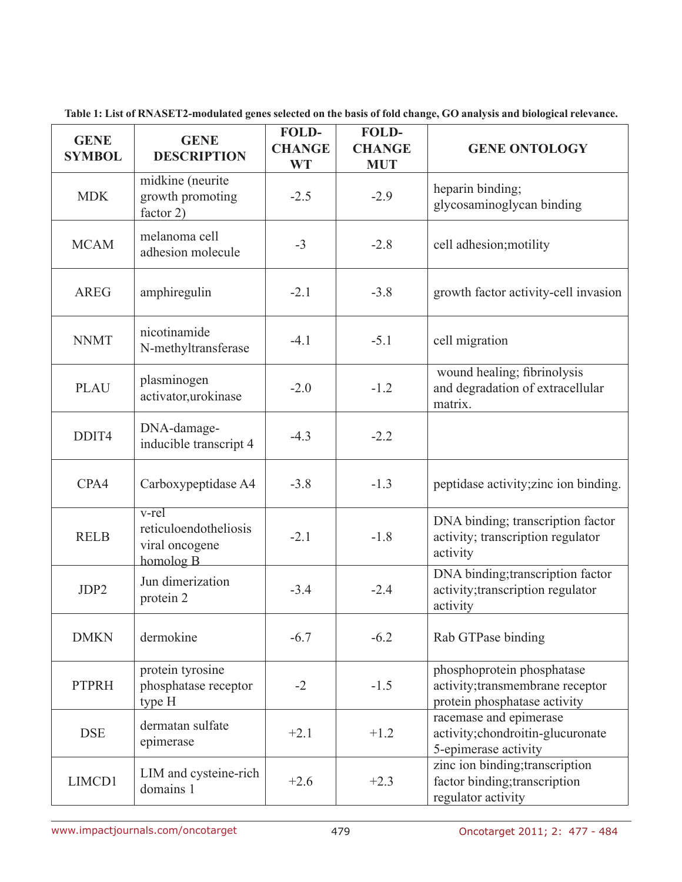| <b>GENE</b><br><b>SYMBOL</b> | <b>GENE</b><br><b>DESCRIPTION</b>                                           | <b>FOLD-</b><br><b>CHANGE</b><br><b>WT</b> | FOLD-<br><b>CHANGE</b><br><b>MUT</b> | <b>GENE ONTOLOGY</b>                                                                           |
|------------------------------|-----------------------------------------------------------------------------|--------------------------------------------|--------------------------------------|------------------------------------------------------------------------------------------------|
| <b>MDK</b>                   | midkine (neurite<br>growth promoting<br>factor 2)                           | $-2.5$                                     | $-2.9$                               | heparin binding;<br>glycosaminoglycan binding                                                  |
| <b>MCAM</b>                  | melanoma cell<br>adhesion molecule                                          | $-3$                                       | $-2.8$                               | cell adhesion; motility                                                                        |
| <b>AREG</b>                  | amphiregulin                                                                | $-2.1$                                     | $-3.8$                               | growth factor activity-cell invasion                                                           |
| <b>NNMT</b>                  | nicotinamide<br>N-methyltransferase                                         | $-4.1$                                     | $-5.1$                               | cell migration                                                                                 |
| <b>PLAU</b>                  | plasminogen<br>activator, urokinase                                         | $-2.0$                                     | $-1.2$                               | wound healing; fibrinolysis<br>and degradation of extracellular<br>matrix.                     |
| DDIT4                        | DNA-damage-<br>inducible transcript 4                                       | $-4.3$                                     | $-2.2$                               |                                                                                                |
| CPA4                         | Carboxypeptidase A4                                                         | $-3.8$                                     | $-1.3$                               | peptidase activity; zinc ion binding.                                                          |
| <b>RELB</b>                  | $v$ -rel<br>reticuloendotheliosis<br>viral oncogene<br>homolog <sub>B</sub> | $-2.1$                                     | $-1.8$                               | DNA binding; transcription factor<br>activity; transcription regulator<br>activity             |
| JDP2                         | Jun dimerization<br>protein 2                                               | $-3.4$                                     | $-2.4$                               | DNA binding; transcription factor<br>activity; transcription regulator<br>activity             |
| <b>DMKN</b>                  | dermokine                                                                   | $-6.7$                                     | $-6.2$                               | Rab GTPase binding                                                                             |
| <b>PTPRH</b>                 | protein tyrosine<br>phosphatase receptor<br>type H                          | $-2$                                       | $-1.5$                               | phosphoprotein phosphatase<br>activity; transmembrane receptor<br>protein phosphatase activity |
| <b>DSE</b>                   | dermatan sulfate<br>epimerase                                               | $+2.1$                                     | $+1.2$                               | racemase and epimerase<br>activity; chondroitin-glucuronate<br>5-epimerase activity            |
| LIMCD1                       | LIM and cysteine-rich<br>domains 1                                          | $+2.6$                                     | $+2.3$                               | zinc ion binding; transcription<br>factor binding; transcription<br>regulator activity         |

**Table 1: List of RNASET2-modulated genes selected on the basis of fold change, GO analysis and biological relevance.**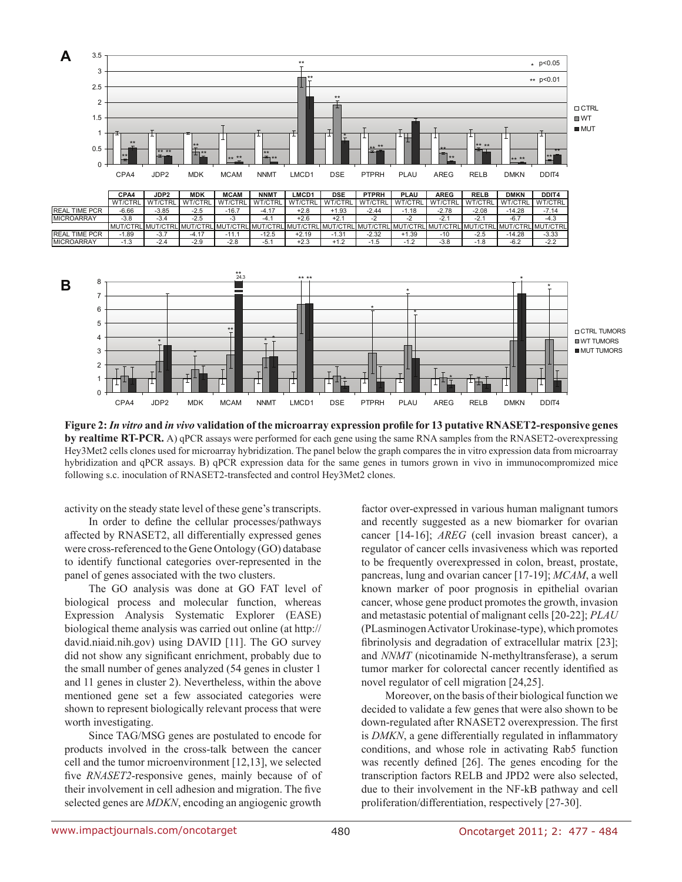

**Figure 2:** *In vitro* **and** *in vivo* **validation of the microarray expression profile for 13 putative RNASET2-responsive genes by realtime RT-PCR.** A) qPCR assays were performed for each gene using the same RNA samples from the RNASET2-overexpressing Hey3Met2 cells clones used for microarray hybridization. The panel below the graph compares the in vitro expression data from microarray hybridization and qPCR assays. B) qPCR expression data for the same genes in tumors grown in vivo in immunocompromized mice following s.c. inoculation of RNASET2-transfected and control Hey3Met2 clones.

activity on the steady state level of these gene's transcripts.

In order to define the cellular processes/pathways affected by RNASET2, all differentially expressed genes were cross-referenced to the Gene Ontology (GO) database to identify functional categories over-represented in the panel of genes associated with the two clusters.

The GO analysis was done at GO FAT level of biological process and molecular function, whereas Expression Analysis Systematic Explorer (EASE) biological theme analysis was carried out online (at http:// david.niaid.nih.gov) using DAVID [11]. The GO survey did not show any significant enrichment, probably due to the small number of genes analyzed (54 genes in cluster 1 and 11 genes in cluster 2). Nevertheless, within the above mentioned gene set a few associated categories were shown to represent biologically relevant process that were worth investigating.

Since TAG/MSG genes are postulated to encode for products involved in the cross-talk between the cancer cell and the tumor microenvironment [12,13], we selected five *RNASET2*-responsive genes, mainly because of of their involvement in cell adhesion and migration. The five selected genes are *MDKN*, encoding an angiogenic growth factor over-expressed in various human malignant tumors and recently suggested as a new biomarker for ovarian cancer [14-16]; *AREG* (cell invasion breast cancer), a regulator of cancer cells invasiveness which was reported to be frequently overexpressed in colon, breast, prostate, pancreas, lung and ovarian cancer [17-19]; *MCAM*, a well known marker of poor prognosis in epithelial ovarian cancer, whose gene product promotes the growth, invasion and metastasic potential of malignant cells [20-22]; *PLAU* (PLasminogen Activator Urokinase-type), which promotes fibrinolysis and degradation of extracellular matrix [23]; and *NNMT* (nicotinamide N-methyltransferase), a serum tumor marker for colorectal cancer recently identified as novel regulator of cell migration [24,25].

Moreover, on the basis of their biological function we decided to validate a few genes that were also shown to be down-regulated after RNASET2 overexpression. The first is *DMKN*, a gene differentially regulated in inflammatory conditions, and whose role in activating Rab5 function was recently defined [26]. The genes encoding for the transcription factors RELB and JPD2 were also selected, due to their involvement in the NF-kB pathway and cell proliferation/differentiation, respectively [27-30].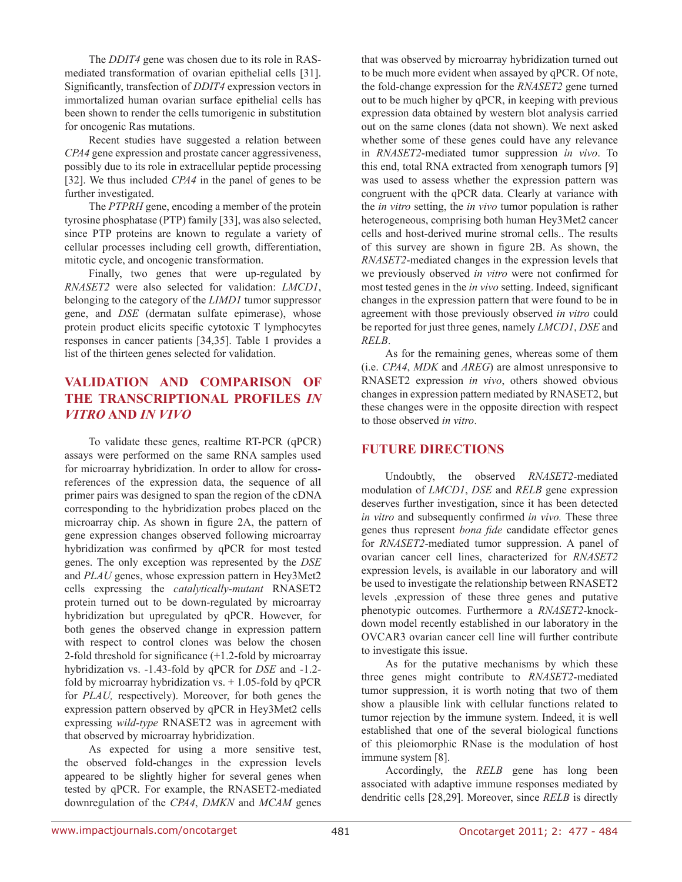The *DDIT4* gene was chosen due to its role in RASmediated transformation of ovarian epithelial cells [31]. Significantly, transfection of *DDIT4* expression vectors in immortalized human ovarian surface epithelial cells has been shown to render the cells tumorigenic in substitution for oncogenic Ras mutations.

Recent studies have suggested a relation between *CPA4* gene expression and prostate cancer aggressiveness, possibly due to its role in extracellular peptide processing [32]. We thus included *CPA4* in the panel of genes to be further investigated.

The *PTPRH* gene, encoding a member of the protein tyrosine phosphatase (PTP) family [33], was also selected, since PTP proteins are known to regulate a variety of cellular processes including cell growth, differentiation, mitotic cycle, and oncogenic transformation.

Finally, two genes that were up-regulated by *RNASET2* were also selected for validation: *LMCD1*, belonging to the category of the *LIMD1* tumor suppressor gene, and *DSE* (dermatan sulfate epimerase), whose protein product elicits specific cytotoxic T lymphocytes responses in cancer patients [34,35]. Table 1 provides a list of the thirteen genes selected for validation.

# **validation AND COMPARISON of THE TRANSCRIPTIONAL PROFILES** *IN VITRO* **AND** *IN VIVO*

To validate these genes, realtime RT-PCR (qPCR) assays were performed on the same RNA samples used for microarray hybridization. In order to allow for crossreferences of the expression data, the sequence of all primer pairs was designed to span the region of the cDNA corresponding to the hybridization probes placed on the microarray chip. As shown in figure 2A, the pattern of gene expression changes observed following microarray hybridization was confirmed by qPCR for most tested genes. The only exception was represented by the *DSE*  and *PLAU* genes, whose expression pattern in Hey3Met2 cells expressing the *catalytically-mutant* RNASET2 protein turned out to be down-regulated by microarray hybridization but upregulated by qPCR. However, for both genes the observed change in expression pattern with respect to control clones was below the chosen 2-fold threshold for significance (+1.2-fold by microarray hybridization vs. -1.43-fold by qPCR for *DSE* and -1.2 fold by microarray hybridization vs.  $+1.05$ -fold by qPCR for *PLAU,* respectively). Moreover, for both genes the expression pattern observed by qPCR in Hey3Met2 cells expressing *wild-type* RNASET2 was in agreement with that observed by microarray hybridization.

As expected for using a more sensitive test, the observed fold-changes in the expression levels appeared to be slightly higher for several genes when tested by qPCR. For example, the RNASET2-mediated downregulation of the *CPA4*, *DMKN* and *MCAM* genes that was observed by microarray hybridization turned out to be much more evident when assayed by qPCR. Of note, the fold-change expression for the *RNASET2* gene turned out to be much higher by qPCR, in keeping with previous expression data obtained by western blot analysis carried out on the same clones (data not shown). We next asked whether some of these genes could have any relevance in *RNASET2*-mediated tumor suppression *in vivo*. To this end, total RNA extracted from xenograph tumors [9] was used to assess whether the expression pattern was congruent with the qPCR data. Clearly at variance with the *in vitro* setting, the *in vivo* tumor population is rather heterogeneous, comprising both human Hey3Met2 cancer cells and host-derived murine stromal cells.. The results of this survey are shown in figure 2B. As shown, the *RNASET2*-mediated changes in the expression levels that we previously observed *in vitro* were not confirmed for most tested genes in the *in vivo* setting. Indeed, significant changes in the expression pattern that were found to be in agreement with those previously observed *in vitro* could be reported for just three genes, namely *LMCD1*, *DSE* and *RELB*.

As for the remaining genes, whereas some of them (i.e. *CPA4*, *MDK* and *AREG*) are almost unresponsive to RNASET2 expression *in vivo*, others showed obvious changes in expression pattern mediated by RNASET2, but these changes were in the opposite direction with respect to those observed *in vitro*.

#### **FUTURE DIRECTIONS**

Undoubtly, the observed *RNASET2*-mediated modulation of *LMCD1*, *DSE* and *RELB* gene expression deserves further investigation, since it has been detected *in vitro* and subsequently confirmed *in vivo.* These three genes thus represent *bona fide* candidate effector genes for *RNASET2*-mediated tumor suppression. A panel of ovarian cancer cell lines, characterized for *RNASET2* expression levels, is available in our laboratory and will be used to investigate the relationship between RNASET2 levels ,expression of these three genes and putative phenotypic outcomes. Furthermore a *RNASET2*-knockdown model recently established in our laboratory in the OVCAR3 ovarian cancer cell line will further contribute to investigate this issue.

As for the putative mechanisms by which these three genes might contribute to *RNASET2*-mediated tumor suppression, it is worth noting that two of them show a plausible link with cellular functions related to tumor rejection by the immune system. Indeed, it is well established that one of the several biological functions of this pleiomorphic RNase is the modulation of host immune system [8].

Accordingly, the *RELB* gene has long been associated with adaptive immune responses mediated by dendritic cells [28,29]. Moreover, since *RELB* is directly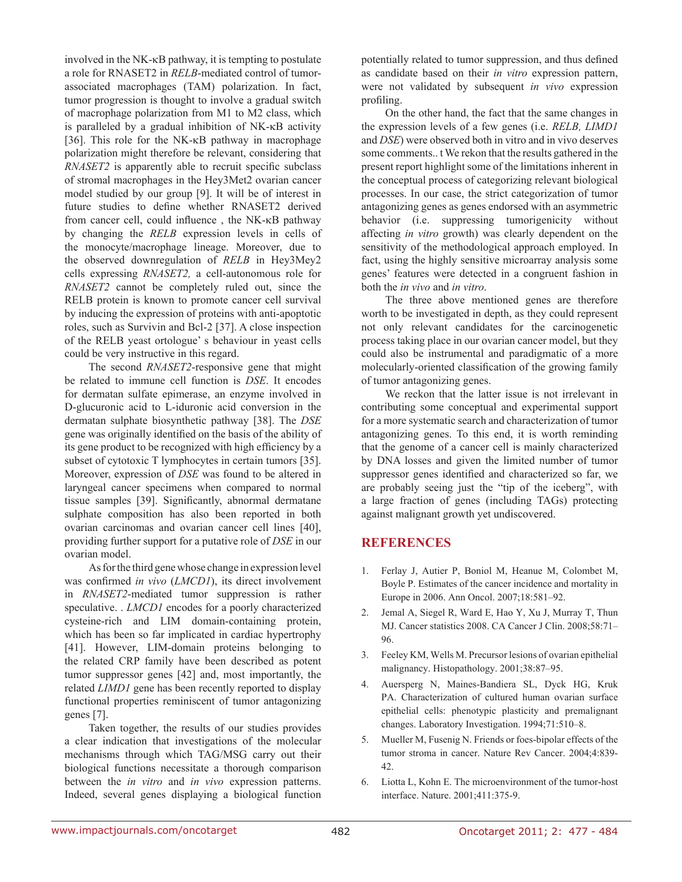involved in the NK-κB pathway, it is tempting to postulate a role for RNASET2 in *RELB*-mediated control of tumorassociated macrophages (TAM) polarization. In fact, tumor progression is thought to involve a gradual switch of macrophage polarization from M1 to M2 class, which is paralleled by a gradual inhibition of NK-κB activity [36]. This role for the NK-κB pathway in macrophage polarization might therefore be relevant, considering that *RNASET2* is apparently able to recruit specific subclass of stromal macrophages in the Hey3Met2 ovarian cancer model studied by our group [9]. It will be of interest in future studies to define whether RNASET2 derived from cancer cell, could influence , the NK-κB pathway by changing the *RELB* expression levels in cells of the monocyte/macrophage lineage. Moreover, due to the observed downregulation of *RELB* in Hey3Mey2 cells expressing *RNASET2,* a cell-autonomous role for *RNASET2* cannot be completely ruled out, since the RELB protein is known to promote cancer cell survival by inducing the expression of proteins with anti-apoptotic roles, such as Survivin and Bcl-2 [37]. A close inspection of the RELB yeast ortologue' s behaviour in yeast cells could be very instructive in this regard.

The second *RNASET2*-responsive gene that might be related to immune cell function is *DSE*. It encodes for dermatan sulfate epimerase, an enzyme involved in D-glucuronic acid to L-iduronic acid conversion in the dermatan sulphate biosynthetic pathway [38]. The *DSE* gene was originally identified on the basis of the ability of its gene product to be recognized with high efficiency by a subset of cytotoxic T lymphocytes in certain tumors [35]. Moreover, expression of *DSE* was found to be altered in laryngeal cancer specimens when compared to normal tissue samples [39]. Significantly, abnormal dermatane sulphate composition has also been reported in both ovarian carcinomas and ovarian cancer cell lines [40], providing further support for a putative role of *DSE* in our ovarian model.

As for the third gene whose change in expression level was confirmed *in vivo* (*LMCD1*), its direct involvement in *RNASET2*-mediated tumor suppression is rather speculative. *LMCD1* encodes for a poorly characterized cysteine-rich and LIM domain-containing protein, which has been so far implicated in cardiac hypertrophy [41]. However, LIM-domain proteins belonging to the related CRP family have been described as potent tumor suppressor genes [42] and, most importantly, the related *LIMD1* gene has been recently reported to display functional properties reminiscent of tumor antagonizing genes [7].

Taken together, the results of our studies provides a clear indication that investigations of the molecular mechanisms through which TAG/MSG carry out their biological functions necessitate a thorough comparison between the *in vitro* and *in vivo* expression patterns. Indeed, several genes displaying a biological function potentially related to tumor suppression, and thus defined as candidate based on their *in vitro* expression pattern, were not validated by subsequent *in vivo* expression profiling.

On the other hand, the fact that the same changes in the expression levels of a few genes (i.e. *RELB, LIMD1*  and *DSE*) were observed both in vitro and in vivo deserves some comments.. t We rekon that the results gathered in the present report highlight some of the limitations inherent in the conceptual process of categorizing relevant biological processes. In our case, the strict categorization of tumor antagonizing genes as genes endorsed with an asymmetric behavior (i.e. suppressing tumorigenicity without affecting *in vitro* growth) was clearly dependent on the sensitivity of the methodological approach employed. In fact, using the highly sensitive microarray analysis some genes' features were detected in a congruent fashion in both the *in vivo* and *in vitro*.

The three above mentioned genes are therefore worth to be investigated in depth, as they could represent not only relevant candidates for the carcinogenetic process taking place in our ovarian cancer model, but they could also be instrumental and paradigmatic of a more molecularly-oriented classification of the growing family of tumor antagonizing genes.

We reckon that the latter issue is not irrelevant in contributing some conceptual and experimental support for a more systematic search and characterization of tumor antagonizing genes. To this end, it is worth reminding that the genome of a cancer cell is mainly characterized by DNA losses and given the limited number of tumor suppressor genes identified and characterized so far, we are probably seeing just the "tip of the iceberg", with a large fraction of genes (including TAGs) protecting against malignant growth yet undiscovered.

### **REFERENCES**

- 1. Ferlay J, Autier P, Boniol M, Heanue M, Colombet M, Boyle P. Estimates of the cancer incidence and mortality in Europe in 2006. Ann Oncol. 2007;18:581–92.
- 2. Jemal A, Siegel R, Ward E, Hao Y, Xu J, Murray T, Thun MJ. Cancer statistics 2008. CA Cancer J Clin. 2008;58:71– 96.
- 3. Feeley KM, Wells M. Precursor lesions of ovarian epithelial malignancy. Histopathology. 2001;38:87–95.
- 4. Auersperg N, Maines-Bandiera SL, Dyck HG, Kruk PA. Characterization of cultured human ovarian surface epithelial cells: phenotypic plasticity and premalignant changes. Laboratory Investigation. 1994;71:510–8.
- 5. Mueller M, Fusenig N. Friends or foes-bipolar effects of the tumor stroma in cancer. Nature Rev Cancer. 2004;4:839- 42.
- 6. Liotta L, Kohn E. The microenvironment of the tumor-host interface. Nature. 2001;411:375-9.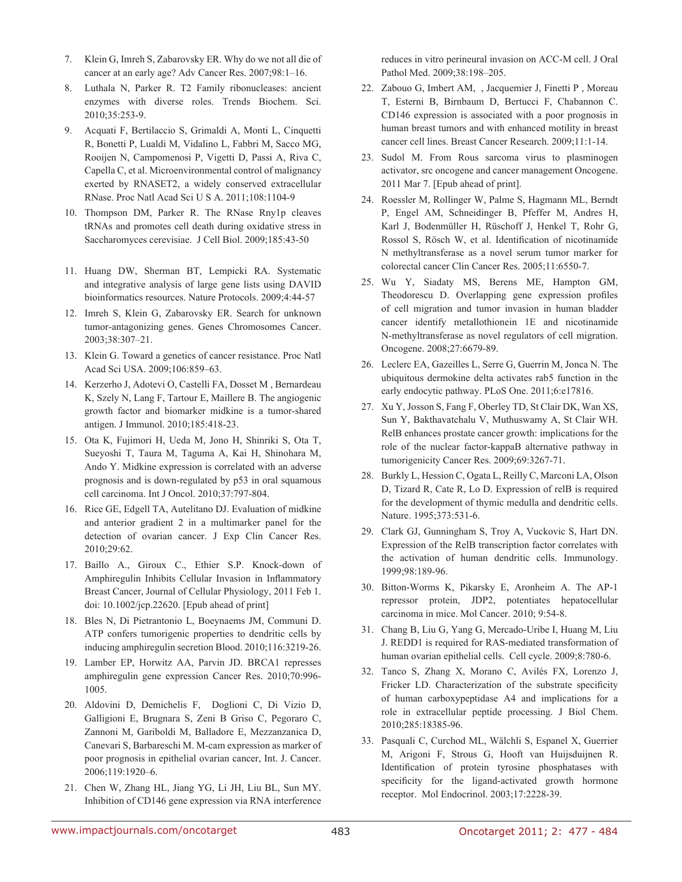- 7. Klein G, Imreh S, Zabarovsky ER. Why do we not all die of cancer at an early age? Adv Cancer Res. 2007;98:1–16.
- 8. Luthala N, Parker R. T2 Family ribonucleases: ancient enzymes with diverse roles. Trends Biochem. Sci. 2010;35:253-9.
- 9. Acquati F, Bertilaccio S, Grimaldi A, Monti L, Cinquetti R, Bonetti P, Lualdi M, Vidalino L, Fabbri M, Sacco MG, Rooijen N, Campomenosi P, Vigetti D, Passi A, Riva C, Capella C, et al. Microenvironmental control of malignancy exerted by RNASET2, a widely conserved extracellular RNase. Proc Natl Acad Sci U S A. 2011;108:1104-9
- 10. Thompson DM, Parker R. The RNase Rny1p cleaves tRNAs and promotes cell death during oxidative stress in Saccharomyces cerevisiae. J Cell Biol. 2009;185:43-50
- 11. Huang DW, Sherman BT, Lempicki RA. Systematic and integrative analysis of large gene lists using DAVID bioinformatics resources. Nature Protocols. 2009;4:44-57
- 12. Imreh S, Klein G, Zabarovsky ER. Search for unknown tumor-antagonizing genes. Genes Chromosomes Cancer. 2003;38:307–21.
- 13. Klein G. Toward a genetics of cancer resistance. Proc Natl Acad Sci USA. 2009;106:859–63.
- 14. Kerzerho J, Adotevi O, Castelli FA, Dosset M , Bernardeau K, Szely N, Lang F, Tartour E, Maillere B. The angiogenic growth factor and biomarker midkine is a tumor-shared antigen. J Immunol. 2010;185:418-23.
- 15. Ota K, Fujimori H, Ueda M, Jono H, Shinriki S, Ota T, Sueyoshi T, Taura M, Taguma A, Kai H, Shinohara M, Ando Y. Midkine expression is correlated with an adverse prognosis and is down-regulated by p53 in oral squamous cell carcinoma. Int J Oncol. 2010;37:797-804.
- 16. Rice GE, Edgell TA, Autelitano DJ. Evaluation of midkine and anterior gradient 2 in a multimarker panel for the detection of ovarian cancer. J Exp Clin Cancer Res. 2010;29:62.
- 17. Baillo A., Giroux C., Ethier S.P. Knock-down of Amphiregulin Inhibits Cellular Invasion in Inflammatory Breast Cancer, Journal of Cellular Physiology, 2011 Feb 1. doi: 10.1002/jcp.22620. [Epub ahead of print]
- 18. Bles N, Di Pietrantonio L, Boeynaems JM, Communi D. ATP confers tumorigenic properties to dendritic cells by inducing amphiregulin secretion Blood. 2010;116:3219-26.
- 19. Lamber EP, Horwitz AA, Parvin JD. BRCA1 represses amphiregulin gene expression Cancer Res. 2010;70:996- 1005.
- 20. Aldovini D, Demichelis F, Doglioni C, Di Vizio D, Galligioni E, Brugnara S, Zeni B Griso C, Pegoraro C, Zannoni M, Gariboldi M, Balladore E, Mezzanzanica D, Canevari S, Barbareschi M. M-cam expression as marker of poor prognosis in epithelial ovarian cancer, Int. J. Cancer. 2006;119:1920–6.
- 21. Chen W, Zhang HL, Jiang YG, Li JH, Liu BL, Sun MY. Inhibition of CD146 gene expression via RNA interference

reduces in vitro perineural invasion on ACC-M cell. J Oral Pathol Med. 2009;38:198–205.

- 22. Zabouo G, Imbert AM, , Jacquemier J, Finetti P , Moreau T, Esterni B, Birnbaum D, Bertucci F, Chabannon C. CD146 expression is associated with a poor prognosis in human breast tumors and with enhanced motility in breast cancer cell lines. Breast Cancer Research. 2009;11:1-14.
- 23. Sudol M. From Rous sarcoma virus to plasminogen activator, src oncogene and cancer management Oncogene. 2011 Mar 7. [Epub ahead of print].
- 24. Roessler M, Rollinger W, Palme S, Hagmann ML, Berndt P, Engel AM, Schneidinger B, Pfeffer M, Andres H, Karl J, Bodenmüller H, Rüschoff J, Henkel T, Rohr G, Rossol S, Rösch W, et al. Identification of nicotinamide N methyltransferase as a novel serum tumor marker for colorectal cancer Clin Cancer Res. 2005;11:6550-7.
- 25. Wu Y, Siadaty MS, Berens ME, Hampton GM, Theodorescu D. Overlapping gene expression profiles of cell migration and tumor invasion in human bladder cancer identify metallothionein 1E and nicotinamide N-methyltransferase as novel regulators of cell migration. Oncogene. 2008;27:6679-89.
- 26. Leclerc EA, Gazeilles L, Serre G, Guerrin M, Jonca N. The ubiquitous dermokine delta activates rab5 function in the early endocytic pathway. PLoS One. 2011;6:e17816.
- 27. Xu Y, Josson S, Fang F, Oberley TD, St Clair DK, Wan XS, Sun Y, Bakthavatchalu V, Muthuswamy A, St Clair WH. RelB enhances prostate cancer growth: implications for the role of the nuclear factor-kappaB alternative pathway in tumorigenicity Cancer Res. 2009;69:3267-71.
- 28. Burkly L, Hession C, Ogata L, Reilly C, Marconi LA, Olson D, Tizard R, Cate R, Lo D. Expression of relB is required for the development of thymic medulla and dendritic cells. Nature. 1995;373:531-6.
- 29. Clark GJ, Gunningham S, Troy A, Vuckovic S, Hart DN. Expression of the RelB transcription factor correlates with the activation of human dendritic cells. Immunology. 1999;98:189-96.
- 30. Bitton-Worms K, Pikarsky E, Aronheim A. The AP-1 repressor protein, JDP2, potentiates hepatocellular carcinoma in mice. Mol Cancer. 2010; 9:54-8.
- 31. Chang B, Liu G, Yang G, Mercado-Uribe I, Huang M, Liu J. REDD1 is required for RAS-mediated transformation of human ovarian epithelial cells. Cell cycle. 2009;8:780-6.
- 32. Tanco S, Zhang X, Morano C, Avilés FX, Lorenzo J, Fricker LD. Characterization of the substrate specificity of human carboxypeptidase A4 and implications for a role in extracellular peptide processing. J Biol Chem. 2010;285:18385-96.
- 33. Pasquali C, Curchod ML, Wälchli S, Espanel X, Guerrier M, Arigoni F, Strous G, Hooft van Huijsduijnen R. Identification of protein tyrosine phosphatases with specificity for the ligand-activated growth hormone receptor. Mol Endocrinol. 2003;17:2228-39.